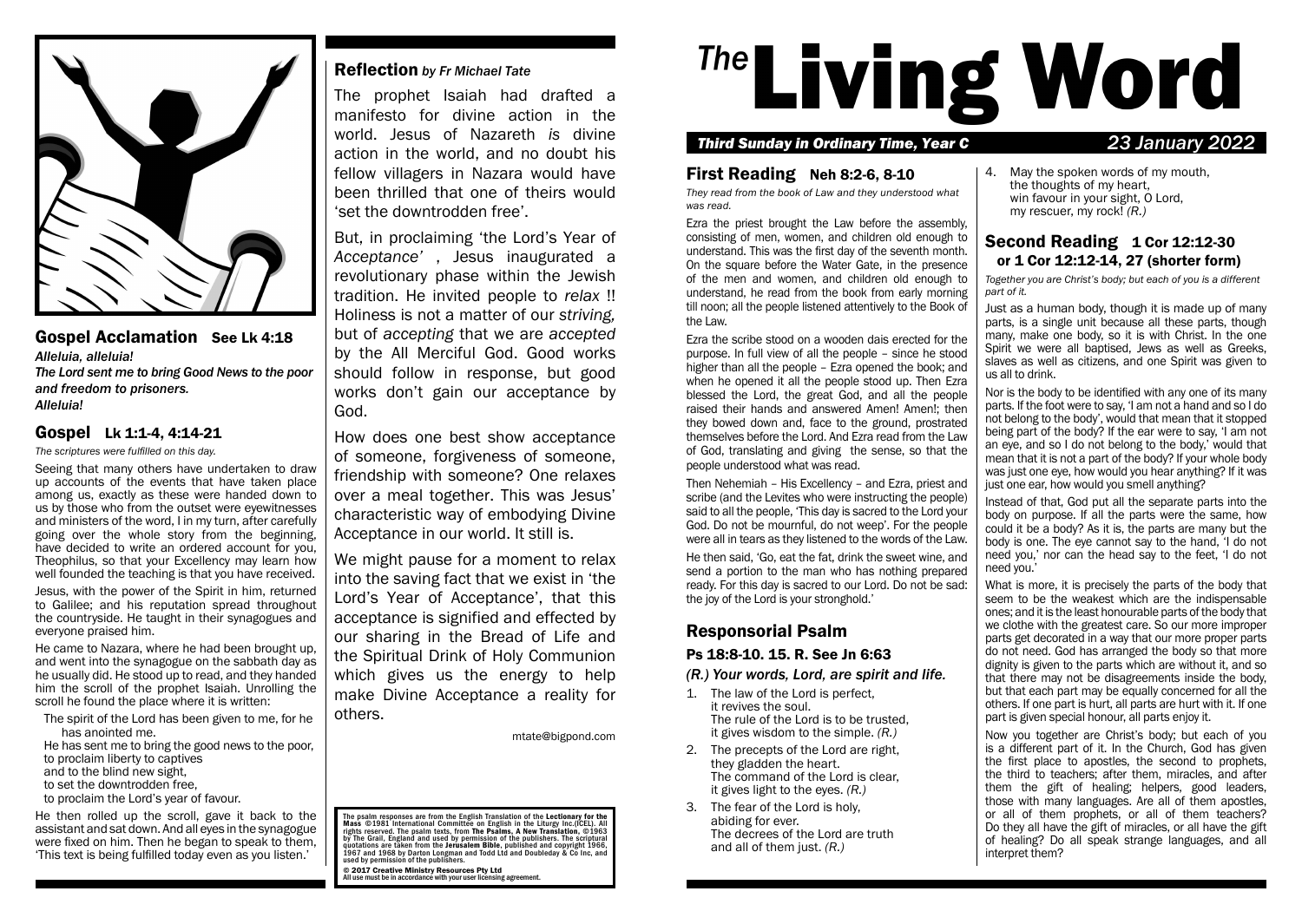

## Gospel Acclamation See Lk 4:18 *Alleluia, alleluia!*

*The Lord sent me to bring Good News to the poor and freedom to prisoners. Alleluia!*

# Gospel Lk 1:1-4, 4:14-21

*The scriptures were fulfilled on this day.*

Seeing that many others have undertaken to draw up accounts of the events that have taken place among us, exactly as these were handed down to us by those who from the outset were eyewitnesses and ministers of the word, I in my turn, after carefully going over the whole story from the beginning, have decided to write an ordered account for you, Theophilus, so that your Excellency may learn how well founded the teaching is that you have received.

Jesus, with the power of the Spirit in him, returned to Galilee; and his reputation spread throughout the countryside. He taught in their synagogues and everyone praised him.

He came to Nazara, where he had been brought up, and went into the synagogue on the sabbath day as he usually did. He stood up to read, and they handed him the scroll of the prophet Isaiah. Unrolling the scroll he found the place where it is written:

The spirit of the Lord has been given to me, for he has anointed me.

He has sent me to bring the good news to the poor, to proclaim liberty to captives

and to the blind new sight, to set the downtrodden free,

to proclaim the Lord's year of favour.

He then rolled up the scroll, gave it back to the assistant and sat down. And all eyes in the synagogue were fixed on him. Then he began to speak to them, 'This text is being fulfilled today even as you listen.'

# Reflection *by Fr Michael Tate*

The prophet Isaiah had drafted a manifesto for divine action in the world. Jesus of Nazareth *is* divine action in the world, and no doubt his fellow villagers in Nazara would have been thrilled that one of theirs would 'set the downtrodden free'.

But, in proclaiming 'the Lord's Year of *Acceptance'* , Jesus inaugurated a revolutionary phase within the Jewish tradition. He invited people to *relax* !! Holiness is not a matter of our *striving,* but of *accepting* that we are *accepted* by the All Merciful God. Good works should follow in response, but good works don't gain our acceptance by God.

How does one best show acceptance of someone, forgiveness of someone, friendship with someone? One relaxes over a meal together. This was Jesus' characteristic way of embodying Divine Acceptance in our world. It still is.

We might pause for a moment to relax into the saving fact that we exist in 'the Lord's Year of Acceptance', that this acceptance is signified and effected by our sharing in the Bread of Life and the Spiritual Drink of Holy Communion which gives us the energy to help make Divine Acceptance a reality for others.

mtate@bigpond.com

The psalm responses are from the English Translation of the Lectionary for the<br>Mass ©1981 International Committee on English in the Liturgy Inc.(ICEL). All rights reserved. The psalm texts, from **The Psalms, A New Translation**, ©1963<br>by The Grail, England and used by permission of the publishers. The scriptural quotations are taken from the **Jerusalem Bible**, published and copyright 1966,<br>1967 and 1968 by Darton Longman and Todd Ltd and Doubleday & Co Inc, and<br>used by permission of the publishers.

© 2017 Creative Ministry Resources Pty Ltd All use must be in accordance with your user licensing agreement.

# **The Living Word**

## *Third Sunday in Ordinary Time, Year C 23 January 2022*

## First Reading Neh 8:2-6, 8-10

*They read from the book of Law and they understood what was read.*

Ezra the priest brought the Law before the assembly, consisting of men, women, and children old enough to understand. This was the first day of the seventh month. On the square before the Water Gate, in the presence of the men and women, and children old enough to understand, he read from the book from early morning till noon; all the people listened attentively to the Book of the Law.

Ezra the scribe stood on a wooden dais erected for the purpose. In full view of all the people – since he stood higher than all the people – Ezra opened the book; and when he opened it all the people stood up. Then Ezra blessed the Lord, the great God, and all the people raised their hands and answered Amen! Amen!; then they bowed down and, face to the ground, prostrated themselves before the Lord. And Ezra read from the Law of God, translating and giving the sense, so that the people understood what was read.

Then Nehemiah – His Excellency – and Ezra, priest and scribe (and the Levites who were instructing the people) said to all the people, 'This day is sacred to the Lord your God. Do not be mournful, do not weep'. For the people were all in tears as they listened to the words of the Law.

He then said, 'Go, eat the fat, drink the sweet wine, and send a portion to the man who has nothing prepared ready. For this day is sacred to our Lord. Do not be sad: the joy of the Lord is your stronghold.'

# Responsorial Psalm

## Ps 18:8-10. 15. R. See Jn 6:63

### *(R.) Your words, Lord, are spirit and life.*

- 1. The law of the Lord is perfect, it revives the soul. The rule of the Lord is to be trusted, it gives wisdom to the simple. *(R.)*
- 2. The precepts of the Lord are right, they gladden the heart. The command of the Lord is clear, it gives light to the eyes. *(R.)*
- 3. The fear of the Lord is holy, abiding for ever. The decrees of the Lord are truth and all of them just. *(R.)*

4. May the spoken words of my mouth, the thoughts of my heart, win favour in your sight, O Lord, my rescuer, my rock! *(R.)*

# Second Reading 1 Cor 12:12-30 or 1 Cor 12:12-14, 27 (shorter form)

*Together you are Christ's body; but each of you is a different part of it.*

Just as a human body, though it is made up of many parts, is a single unit because all these parts, though many, make one body, so it is with Christ. In the one Spirit we were all baptised, Jews as well as Greeks, slaves as well as citizens, and one Spirit was given to us all to drink.

Nor is the body to be identified with any one of its many parts. If the foot were to say, 'I am not a hand and so I do not belong to the body', would that mean that it stopped being part of the body? If the ear were to say, 'I am not an eye, and so I do not belong to the body,' would that mean that it is not a part of the body? If your whole body was just one eye, how would you hear anything? If it was just one ear, how would you smell anything?

Instead of that, God put all the separate parts into the body on purpose. If all the parts were the same, how could it be a body? As it is, the parts are many but the body is one. The eye cannot say to the hand, 'I do not need you,' nor can the head say to the feet, 'I do not need you.'

What is more, it is precisely the parts of the body that seem to be the weakest which are the indispensable ones; and it is the least honourable parts of the body that we clothe with the greatest care. So our more improper parts get decorated in a way that our more proper parts do not need. God has arranged the body so that more dignity is given to the parts which are without it, and so that there may not be disagreements inside the body, but that each part may be equally concerned for all the others. If one part is hurt, all parts are hurt with it. If one part is given special honour, all parts enjoy it.

Now you together are Christ's body; but each of you is a different part of it. In the Church, God has given the first place to apostles, the second to prophets, the third to teachers; after them, miracles, and after them the gift of healing; helpers, good leaders, those with many languages. Are all of them apostles, or all of them prophets, or all of them teachers? Do they all have the gift of miracles, or all have the gift of healing? Do all speak strange languages, and all interpret them?